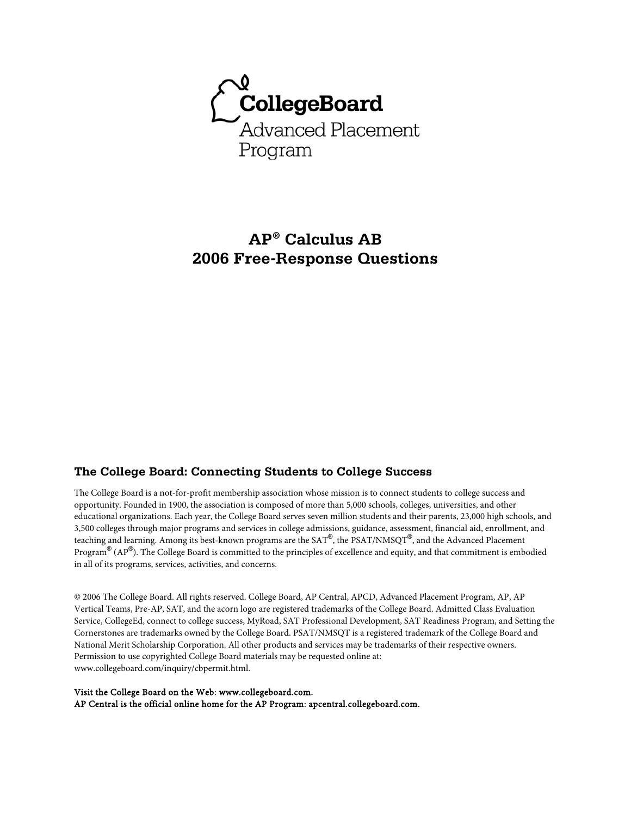

# **AP® Calculus AB 2006 Free-Response Questions**

### **The College Board: Connecting Students to College Success**

The College Board is a not-for-profit membership association whose mission is to connect students to college success and opportunity. Founded in 1900, the association is composed of more than 5,000 schools, colleges, universities, and other educational organizations. Each year, the College Board serves seven million students and their parents, 23,000 high schools, and 3,500 colleges through major programs and services in college admissions, guidance, assessment, financial aid, enrollment, and teaching and learning. Among its best-known programs are the SAT®, the PSAT/NMSQT®, and the Advanced Placement Program® (AP®). The College Board is committed to the principles of excellence and equity, and that commitment is embodied in all of its programs, services, activities, and concerns.

© 2006 The College Board. All rights reserved. College Board, AP Central, APCD, Advanced Placement Program, AP, AP Vertical Teams, Pre-AP, SAT, and the acorn logo are registered trademarks of the College Board. Admitted Class Evaluation Service, CollegeEd, connect to college success, MyRoad, SAT Professional Development, SAT Readiness Program, and Setting the Cornerstones are trademarks owned by the College Board. PSAT/NMSQT is a registered trademark of the College Board and National Merit Scholarship Corporation. All other products and services may be trademarks of their respective owners. Permission to use copyrighted College Board materials may be requested online at: www.collegeboard.com/inquiry/cbpermit.html.

Visit the College Board on the Web: www.collegeboard.com. AP Central is the official online home for the AP Program: apcentral.collegeboard.com.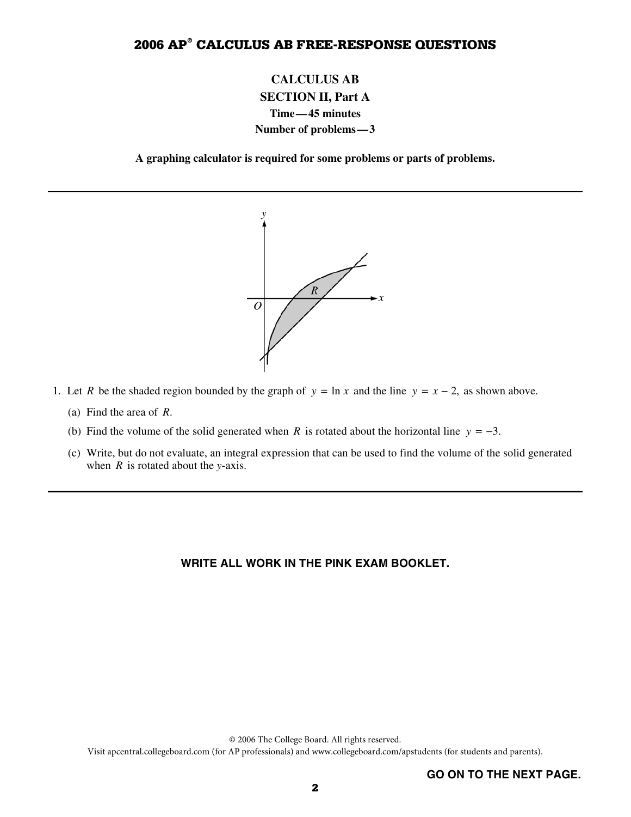# **2006 AP® CALCULUS AB FREE-RESPONSE QUESTIONS**

# **CALCULUS AB SECTION II, Part A Time—45 minutes Number of problems—3**

**A graphing calculator is required for some problems or parts of problems.** 



- 1. Let *R* be the shaded region bounded by the graph of  $y = \ln x$  and the line  $y = x 2$ , as shown above.
	- (a) Find the area of *R*.
	- (b) Find the volume of the solid generated when *R* is rotated about the horizontal line  $y = -3$ .
	- (c) Write, but do not evaluate, an integral expression that can be used to find the volume of the solid generated when *R* is rotated about the *y*-axis.

#### **WRITE ALL WORK IN THE PINK EXAM BOOKLET.**

© 2006 The College Board. All rights reserved.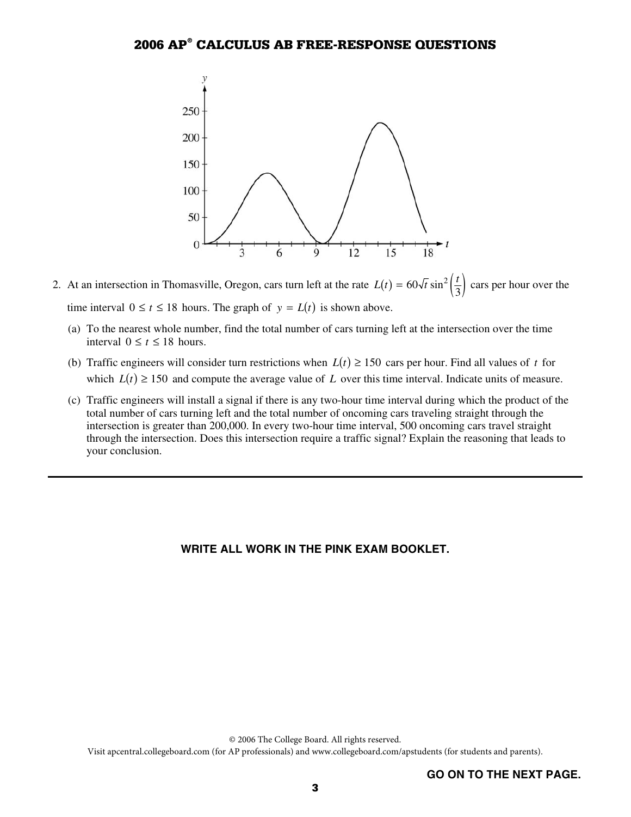

2. At an intersection in Thomasville, Oregon, cars turn left at the rate  $L(t) = 60\sqrt{t} \sin^2\left(\frac{t}{3}\right)$  cars per hour over the time interval  $0 \le t \le 18$  hours. The graph of  $y = L(t)$  is shown above.

- (a) To the nearest whole number, find the total number of cars turning left at the intersection over the time interval  $0 \le t \le 18$  hours.
- (b) Traffic engineers will consider turn restrictions when  $L(t) \ge 150$  cars per hour. Find all values of t for which  $L(t) \ge 150$  and compute the average value of *L* over this time interval. Indicate units of measure.
- (c) Traffic engineers will install a signal if there is any two-hour time interval during which the product of the total number of cars turning left and the total number of oncoming cars traveling straight through the intersection is greater than 200,000. In every two-hour time interval, 500 oncoming cars travel straight through the intersection. Does this intersection require a traffic signal? Explain the reasoning that leads to your conclusion.

### **WRITE ALL WORK IN THE PINK EXAM BOOKLET.**

© 2006 The College Board. All rights reserved.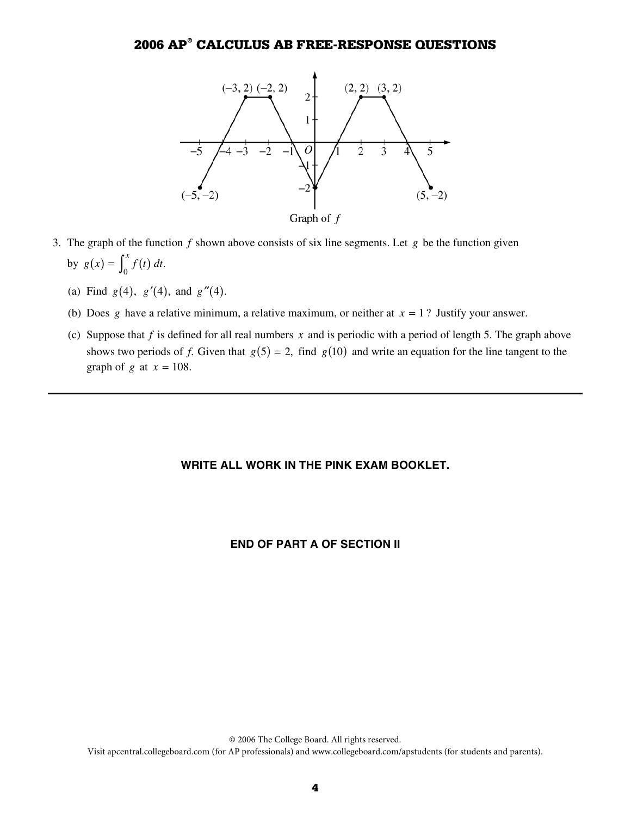

Graph of  $f$ 

- 3. The graph of the function *f* shown above consists of six line segments. Let *g* be the function given by  $g(x) = \int_0^x f(t) dt$ .
	- (a) Find  $g(4)$ ,  $g'(4)$ , and  $g''(4)$ .
	- (b) Does *g* have a relative minimum, a relative maximum, or neither at  $x = 1$ ? Justify your answer.
	- (c) Suppose that *f* is defined for all real numbers *x* and is periodic with a period of length 5. The graph above shows two periods of *f*. Given that  $g(5) = 2$ , find  $g(10)$  and write an equation for the line tangent to the graph of  $g$  at  $x = 108$ .

### **WRITE ALL WORK IN THE PINK EXAM BOOKLET.**

#### **END OF PART A OF SECTION II**

© 2006 The College Board. All rights reserved. Visit apcentral.collegeboard.com (for AP professionals) and www.collegeboard.com/apstudents (for students and parents).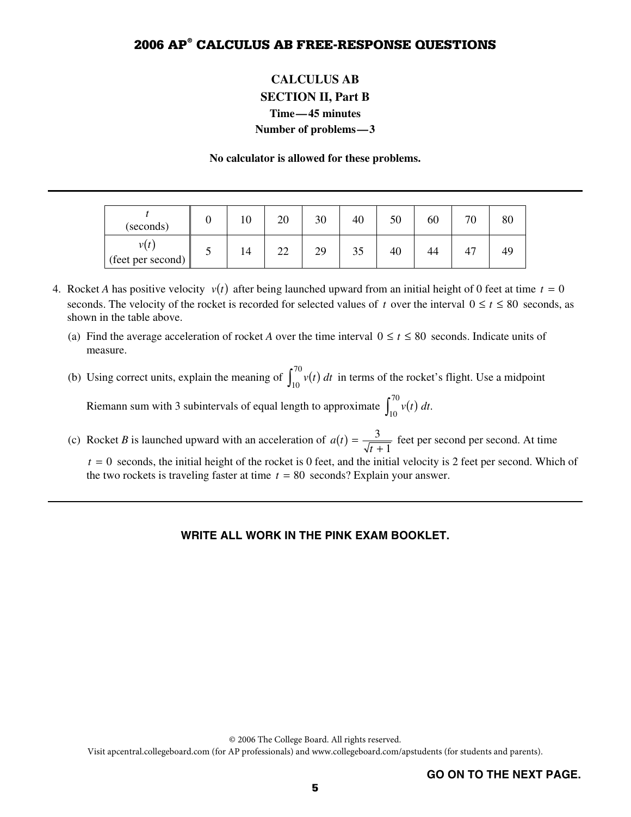# **2006 AP® CALCULUS AB FREE-RESPONSE QUESTIONS**

# **CALCULUS AB SECTION II, Part B Time—45 minutes Number of problems—3**

#### **No calculator is allowed for these problems.**

| (seconds)                 |   |    | 20           | 30 | 40 | 50 | 60 | $\overline{\phantom{a}}$ | 80 |
|---------------------------|---|----|--------------|----|----|----|----|--------------------------|----|
| v(t)<br>(feet per second) | ◡ | 14 | $\cap$<br>∠∠ | 29 | IJ | 40 | 44 | 47                       | 49 |

- 4. Rocket *A* has positive velocity  $v(t)$  after being launched upward from an initial height of 0 feet at time  $t = 0$ seconds. The velocity of the rocket is recorded for selected values of *t* over the interval  $0 \le t \le 80$  seconds, as shown in the table above.
	- (a) Find the average acceleration of rocket *A* over the time interval  $0 \le t \le 80$  seconds. Indicate units of measure.
	- (b) Using correct units, explain the meaning of  $\int_{10}^{70} v(t) dt$  in terms of the rocket's flight. Use a midpoint Riemann sum with 3 subintervals of equal length to approximate  $\int_{10}^{70} v(t) dt$ .
	- (c) Rocket *B* is launched upward with an acceleration of  $a(t) = \frac{3}{\sqrt{2}}$ 1  $a(t) = \frac{3}{\sqrt{t+1}}$  feet per second per second. At time

 $t = 0$  seconds, the initial height of the rocket is 0 feet, and the initial velocity is 2 feet per second. Which of the two rockets is traveling faster at time  $t = 80$  seconds? Explain your answer.

### **WRITE ALL WORK IN THE PINK EXAM BOOKLET.**

© 2006 The College Board. All rights reserved.